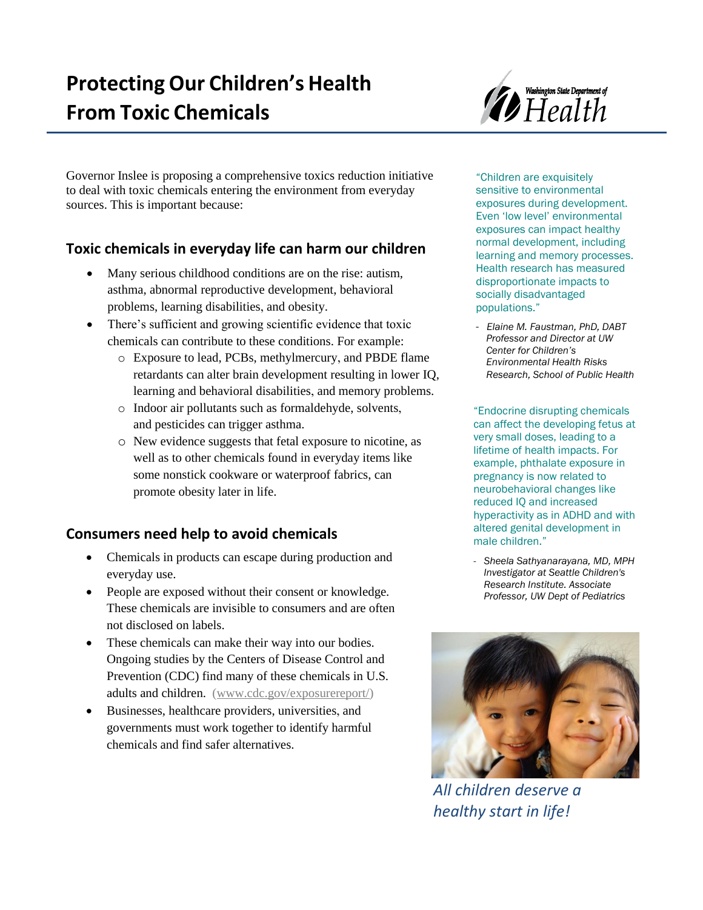

Governor Inslee is proposing a comprehensive toxics reduction initiative to deal with toxic chemicals entering the environment from everyday sources. This is important because:

# **Toxic chemicals in everyday life can harm our children**

- Many serious childhood conditions are on the rise: autism, asthma, abnormal reproductive development, behavioral problems, learning disabilities, and obesity.
- There's sufficient and growing scientific evidence that toxic chemicals can contribute to these conditions. For example:
	- o Exposure to lead, PCBs, methylmercury, and PBDE flame retardants can alter brain development resulting in lower IQ, learning and behavioral disabilities, and memory problems.
	- o Indoor air pollutants such as formaldehyde, solvents, and pesticides can trigger asthma.
	- o New evidence suggests that fetal exposure to nicotine, as well as to other chemicals found in everyday items like some nonstick cookware or waterproof fabrics, can promote obesity later in life.

## **Consumers need help to avoid chemicals**

- Chemicals in products can escape during production and everyday use.
- People are exposed without their consent or knowledge. These chemicals are invisible to consumers and are often not disclosed on labels.
- These chemicals can make their way into our bodies. Ongoing studies by the Centers of Disease Control and Prevention (CDC) find many of these chemicals in U.S. adults and children. (www.cdc.gov/exposurereport/)
- Businesses, healthcare providers, universities, and governments must work together to identify harmful chemicals and find safer alternatives.

"Children are exquisitely sensitive to environmental exposures during development. Even 'low level' environmental exposures can impact healthy normal development, including learning and memory processes. Health research has measured disproportionate impacts to socially disadvantaged populations."

*- Elaine M. Faustman, PhD, DABT Professor and Director at UW Center for Children's Environmental Health Risks Research, School of Public Health*

"Endocrine disrupting chemicals can affect the developing fetus at very small doses, leading to a lifetime of health impacts. For example, phthalate exposure in pregnancy is now related to neurobehavioral changes like reduced IQ and increased hyperactivity as in ADHD and with altered genital development in male children."

*- Sheela Sathyanarayana, MD, MPH Investigator at Seattle Children's Research Institute. Associate Professor, UW Dept of Pediatrics*



*All children deserve a healthy start in life!*